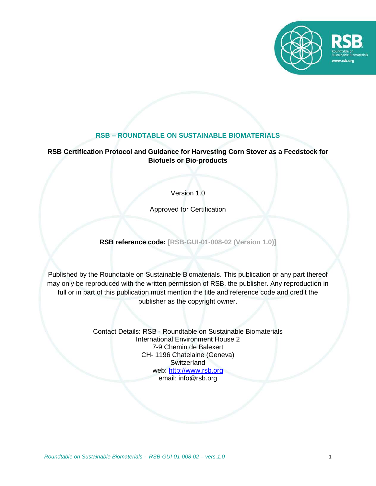

# **RSB – ROUNDTABLE ON SUSTAINABLE BIOMATERIALS**

## **RSB Certification Protocol and Guidance for Harvesting Corn Stover as a Feedstock for Biofuels or Bio-products**

Version 1.0

Approved for Certification

**RSB reference code: [RSB-GUI-01-008-02 (Version 1.0)]**

Published by the Roundtable on Sustainable Biomaterials. This publication or any part thereof may only be reproduced with the written permission of RSB, the publisher. Any reproduction in full or in part of this publication must mention the title and reference code and credit the publisher as the copyright owner.

> Contact Details: RSB - Roundtable on Sustainable Biomaterials International Environment House 2 7-9 Chemin de Balexert CH- 1196 Chatelaine (Geneva) **Switzerland** web: [http://www.rsb.org](http://www.rsb.org/) email: info@rsb.org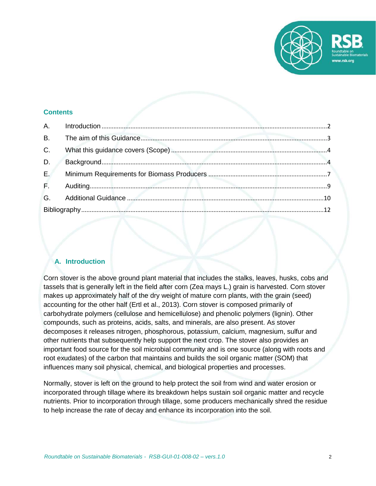

### **Contents**

| B <sub>1</sub> |  |
|----------------|--|
| C.             |  |
| D.             |  |
| $E_{\rm eff}$  |  |
|                |  |
|                |  |
|                |  |

# <span id="page-1-0"></span>**A. Introduction**

Corn stover is the above ground plant material that includes the stalks, leaves, husks, cobs and tassels that is generally left in the field after corn (Zea mays L.) grain is harvested. Corn stover makes up approximately half of the dry weight of mature corn plants, with the grain (seed) accounting for the other half (Ertl et al., 2013). Corn stover is composed primarily of carbohydrate polymers (cellulose and hemicellulose) and phenolic polymers (lignin). Other compounds, such as proteins, acids, salts, and minerals, are also present. As stover decomposes it releases nitrogen, phosphorous, potassium, calcium, magnesium, sulfur and other nutrients that subsequently help support the next crop. The stover also provides an important food source for the soil microbial community and is one source (along with roots and root exudates) of the carbon that maintains and builds the soil organic matter (SOM) that influences many soil physical, chemical, and biological properties and processes.

Normally, stover is left on the ground to help protect the soil from wind and water erosion or incorporated through tillage where its breakdown helps sustain soil organic matter and recycle nutrients. Prior to incorporation through tillage, some producers mechanically shred the residue to help increase the rate of decay and enhance its incorporation into the soil.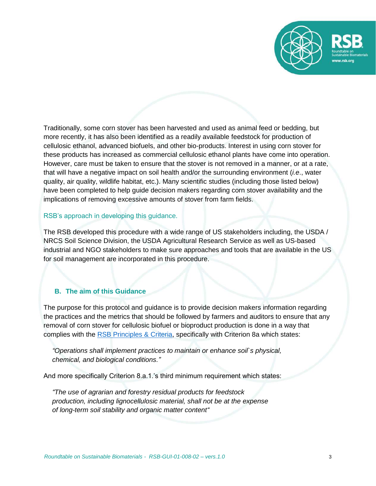

Traditionally, some corn stover has been harvested and used as animal feed or bedding, but more recently, it has also been identified as a readily available feedstock for production of cellulosic ethanol, advanced biofuels, and other bio-products. Interest in using corn stover for these products has increased as commercial cellulosic ethanol plants have come into operation. However, care must be taken to ensure that the stover is not removed in a manner, or at a rate, that will have a negative impact on soil health and/or the surrounding environment (*i.e*., water quality, air quality, wildlife habitat, etc.). Many scientific studies (including those listed below) have been completed to help guide decision makers regarding corn stover availability and the implications of removing excessive amounts of stover from farm fields.

### RSB's approach in developing this guidance.

The RSB developed this procedure with a wide range of US stakeholders including, the USDA / NRCS Soil Science Division, the USDA Agricultural Research Service as well as US-based industrial and NGO stakeholders to make sure approaches and tools that are available in the US for soil management are incorporated in this procedure.

## <span id="page-2-0"></span>**B. The aim of this Guidance**

The purpose for this protocol and guidance is to provide decision makers information regarding the practices and the metrics that should be followed by farmers and auditors to ensure that any removal of corn stover for cellulosic biofuel or bioproduct production is done in a way that complies with the [RSB Principles & Criteria,](http://rsb.org/wp-content/uploads/2017/04/RSB-STD-01-001_Principles_and_Criteria-DIGITAL.pdf) specifically with Criterion 8a which states:

*"Operations shall implement practices to maintain or enhance soil`s physical, chemical, and biological conditions."*

And more specifically Criterion 8.a.1.'s third minimum requirement which states:

*"The use of agrarian and forestry residual products for feedstock production, including lignocellulosic material, shall not be at the expense of long-term soil stability and organic matter content"*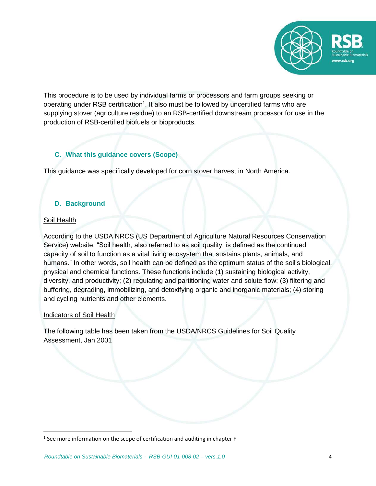

This procedure is to be used by individual farms or processors and farm groups seeking or operating under RSB certification<sup>1</sup>. It also must be followed by uncertified farms who are supplying stover (agriculture residue) to an RSB-certified downstream processor for use in the production of RSB-certified biofuels or bioproducts.

# <span id="page-3-0"></span>**C. What this guidance covers (Scope)**

This guidance was specifically developed for corn stover harvest in North America.

# <span id="page-3-1"></span>**D. Background**

## Soil Health

 $\overline{\phantom{a}}$ 

According to the USDA NRCS (US Department of Agriculture Natural Resources Conservation Service) website, "Soil health, also referred to as soil quality, is defined as the continued capacity of soil to function as a vital living ecosystem that sustains plants, animals, and humans." In other words, soil health can be defined as the optimum status of the soil's biological, physical and chemical functions. These functions include (1) sustaining biological activity, diversity, and productivity; (2) regulating and partitioning water and solute flow; (3) filtering and buffering, degrading, immobilizing, and detoxifying organic and inorganic materials; (4) storing and cycling nutrients and other elements.

## Indicators of Soil Health

The following table has been taken from the USDA/NRCS Guidelines for Soil Quality Assessment, Jan 2001

 $<sup>1</sup>$  See more information on the scope of certification and auditing in chapter F</sup>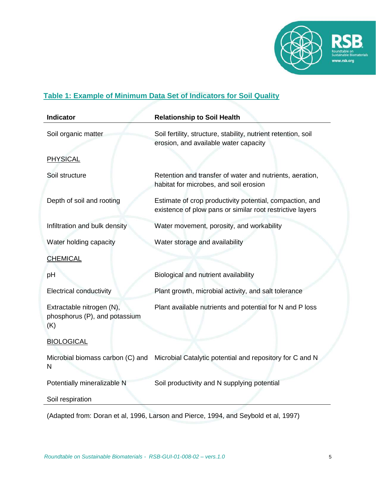

# **Table 1: Example of Minimum Data Set of Indicators for Soil Quality**

| Soil fertility, structure, stability, nutrient retention, soil<br>Soil organic matter<br>erosion, and available water capacity<br><b>PHYSICAL</b><br>Soil structure<br>Retention and transfer of water and nutrients, aeration,<br>habitat for microbes, and soil erosion<br>Depth of soil and rooting<br>Estimate of crop productivity potential, compaction, and<br>existence of plow pans or similar root restrictive layers<br>Infiltration and bulk density<br>Water movement, porosity, and workability<br>Water holding capacity<br>Water storage and availability<br><b>CHEMICAL</b><br>Biological and nutrient availability<br>рH<br><b>Electrical conductivity</b><br>Plant growth, microbial activity, and salt tolerance<br>Plant available nutrients and potential for N and P loss<br>Extractable nitrogen (N), | <b>Indicator</b> | <b>Relationship to Soil Health</b> |
|-------------------------------------------------------------------------------------------------------------------------------------------------------------------------------------------------------------------------------------------------------------------------------------------------------------------------------------------------------------------------------------------------------------------------------------------------------------------------------------------------------------------------------------------------------------------------------------------------------------------------------------------------------------------------------------------------------------------------------------------------------------------------------------------------------------------------------|------------------|------------------------------------|
|                                                                                                                                                                                                                                                                                                                                                                                                                                                                                                                                                                                                                                                                                                                                                                                                                               |                  |                                    |
|                                                                                                                                                                                                                                                                                                                                                                                                                                                                                                                                                                                                                                                                                                                                                                                                                               |                  |                                    |
|                                                                                                                                                                                                                                                                                                                                                                                                                                                                                                                                                                                                                                                                                                                                                                                                                               |                  |                                    |
|                                                                                                                                                                                                                                                                                                                                                                                                                                                                                                                                                                                                                                                                                                                                                                                                                               |                  |                                    |
|                                                                                                                                                                                                                                                                                                                                                                                                                                                                                                                                                                                                                                                                                                                                                                                                                               |                  |                                    |
|                                                                                                                                                                                                                                                                                                                                                                                                                                                                                                                                                                                                                                                                                                                                                                                                                               |                  |                                    |
|                                                                                                                                                                                                                                                                                                                                                                                                                                                                                                                                                                                                                                                                                                                                                                                                                               |                  |                                    |
|                                                                                                                                                                                                                                                                                                                                                                                                                                                                                                                                                                                                                                                                                                                                                                                                                               |                  |                                    |
|                                                                                                                                                                                                                                                                                                                                                                                                                                                                                                                                                                                                                                                                                                                                                                                                                               |                  |                                    |
| phosphorus (P), and potassium<br>(K)                                                                                                                                                                                                                                                                                                                                                                                                                                                                                                                                                                                                                                                                                                                                                                                          |                  |                                    |
| <b>BIOLOGICAL</b>                                                                                                                                                                                                                                                                                                                                                                                                                                                                                                                                                                                                                                                                                                                                                                                                             |                  |                                    |
| Microbial Catalytic potential and repository for C and N<br>Microbial biomass carbon (C) and<br>N                                                                                                                                                                                                                                                                                                                                                                                                                                                                                                                                                                                                                                                                                                                             |                  |                                    |
| Potentially mineralizable N<br>Soil productivity and N supplying potential                                                                                                                                                                                                                                                                                                                                                                                                                                                                                                                                                                                                                                                                                                                                                    |                  |                                    |
| Soil respiration                                                                                                                                                                                                                                                                                                                                                                                                                                                                                                                                                                                                                                                                                                                                                                                                              |                  |                                    |

(Adapted from: Doran et al, 1996, Larson and Pierce, 1994, and Seybold et al, 1997)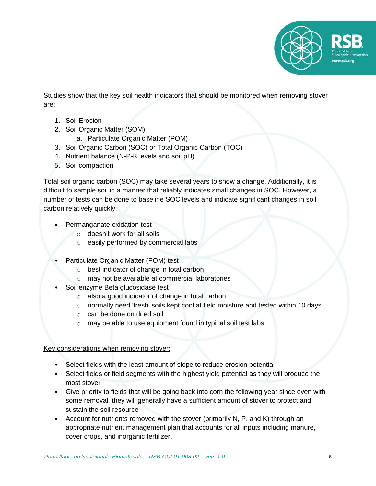

Studies show that the key soil health indicators that should be monitored when removing stover are:

- 1. Soil Erosion
- 2. Soil Organic Matter (SOM)
	- a. Particulate Organic Matter (POM)
- 3. Soil Organic Carbon (SOC) or Total Organic Carbon (TOC)
- 4. Nutrient balance (N-P-K levels and soil pH)
- 5. Soil compaction

Total soil organic carbon (SOC) may take several years to show a change. Additionally, it is difficult to sample soil in a manner that reliably indicates small changes in SOC. However, a number of tests can be done to baseline SOC levels and indicate significant changes in soil carbon relatively quickly:

- Permanganate oxidation test
	- o doesn't work for all soils
	- o easily performed by commercial labs
- Particulate Organic Matter (POM) test
	- o best indicator of change in total carbon
	- o may not be available at commercial laboratories
	- Soil enzyme Beta glucosidase test
		- o also a good indicator of change in total carbon
		- $\circ$  normally need 'fresh' soils kept cool at field moisture and tested within 10 days
		- o can be done on dried soil
		- o may be able to use equipment found in typical soil test labs

Key considerations when removing stover:

- Select fields with the least amount of slope to reduce erosion potential
- Select fields or field segments with the highest yield potential as they will produce the most stover
- Give priority to fields that will be going back into corn the following year since even with some removal, they will generally have a sufficient amount of stover to protect and sustain the soil resource
- Account for nutrients removed with the stover (primarily N, P, and K) through an appropriate nutrient management plan that accounts for all inputs including manure, cover crops, and inorganic fertilizer.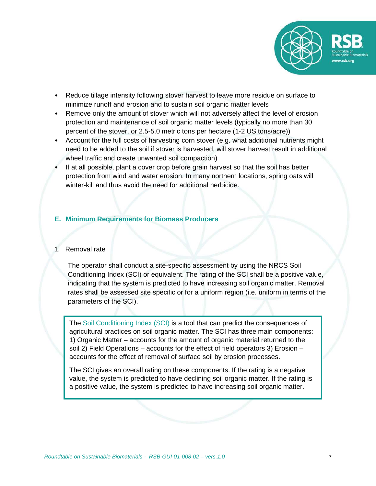

- Reduce tillage intensity following stover harvest to leave more residue on surface to minimize runoff and erosion and to sustain soil organic matter levels
- Remove only the amount of stover which will not adversely affect the level of erosion protection and maintenance of soil organic matter levels (typically no more than 30 percent of the stover, or 2.5-5.0 metric tons per hectare (1-2 US tons/acre))
- Account for the full costs of harvesting corn stover (e.g. what additional nutrients might need to be added to the soil if stover is harvested, will stover harvest result in additional wheel traffic and create unwanted soil compaction)
- If at all possible, plant a cover crop before grain harvest so that the soil has better protection from wind and water erosion. In many northern locations, spring oats will winter-kill and thus avoid the need for additional herbicide.

## <span id="page-6-0"></span>**E. Minimum Requirements for Biomass Producers**

## 1. Removal rate

The operator shall conduct a site-specific assessment by using the NRCS Soil Conditioning Index (SCI) or equivalent. The rating of the SCI shall be a positive value, indicating that the system is predicted to have increasing soil organic matter. Removal rates shall be assessed site specific or for a uniform region (i.e. uniform in terms of the parameters of the SCI).

The Soil Conditioning Index (SCI) is a tool that can predict the consequences of agricultural practices on soil organic matter. The SCI has three main components: 1) Organic Matter – accounts for the amount of organic material returned to the soil 2) Field Operations – accounts for the effect of field operators 3) Erosion – accounts for the effect of removal of surface soil by erosion processes.

The SCI gives an overall rating on these components. If the rating is a negative value, the system is predicted to have declining soil organic matter. If the rating is a positive value, the system is predicted to have increasing soil organic matter.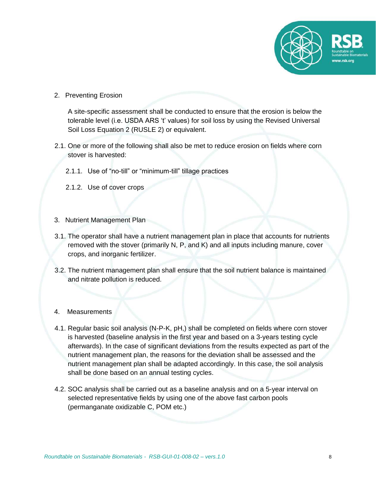

2. Preventing Erosion

A site-specific assessment shall be conducted to ensure that the erosion is below the tolerable level (i.e. USDA ARS 't' values) for soil loss by using the Revised Universal Soil Loss Equation 2 (RUSLE 2) or equivalent.

- 2.1. One or more of the following shall also be met to reduce erosion on fields where corn stover is harvested:
	- 2.1.1. Use of "no-till" or "minimum-till" tillage practices
	- 2.1.2. Use of cover crops
- 3. Nutrient Management Plan
- 3.1. The operator shall have a nutrient management plan in place that accounts for nutrients removed with the stover (primarily N, P, and K) and all inputs including manure, cover crops, and inorganic fertilizer.
- 3.2. The nutrient management plan shall ensure that the soil nutrient balance is maintained and nitrate pollution is reduced.
- 4. Measurements
- 4.1. Regular basic soil analysis (N-P-K, pH,) shall be completed on fields where corn stover is harvested (baseline analysis in the first year and based on a 3-years testing cycle afterwards). In the case of significant deviations from the results expected as part of the nutrient management plan, the reasons for the deviation shall be assessed and the nutrient management plan shall be adapted accordingly. In this case, the soil analysis shall be done based on an annual testing cycles.
- 4.2. SOC analysis shall be carried out as a baseline analysis and on a 5-year interval on selected representative fields by using one of the above fast carbon pools (permanganate oxidizable C, POM etc.)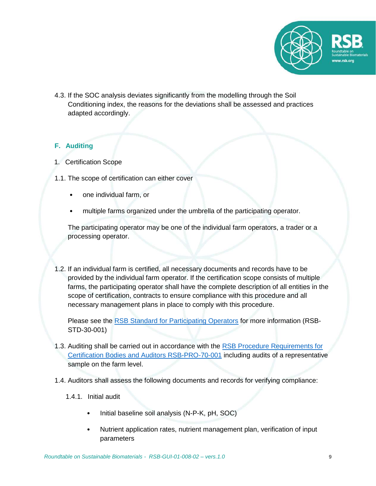

4.3. If the SOC analysis deviates significantly from the modelling through the Soil Conditioning index, the reasons for the deviations shall be assessed and practices adapted accordingly.

# <span id="page-8-0"></span>**F. Auditing**

- 1. Certification Scope
- 1.1. The scope of certification can either cover
	- one individual farm, or
	- multiple farms organized under the umbrella of the participating operator.

The participating operator may be one of the individual farm operators, a trader or a processing operator.

1.2. If an individual farm is certified, all necessary documents and records have to be provided by the individual farm operator. If the certification scope consists of multiple farms, the participating operator shall have the complete description of all entities in the scope of certification, contracts to ensure compliance with this procedure and all necessary management plans in place to comply with this procedure.

Please see the [RSB Standard for Participating Operators](http://rsb.org/wp-content/uploads/2017/02/RSB-STD-30-001-RSB-Standard-for-Participating-Operators.pdf) for more information (RSB-STD-30-001)

- 1.3. Auditing shall be carried out in accordance with the [RSB Procedure Requirements for](http://rsb.org/wp-content/uploads/2017/04/RSB-PRO-70-001_Requirements_for_Certification_Bodies_and_Auditors-1.pdf)  [Certification Bodies and Auditors RSB-PRO-70-001](http://rsb.org/wp-content/uploads/2017/04/RSB-PRO-70-001_Requirements_for_Certification_Bodies_and_Auditors-1.pdf) including audits of a representative sample on the farm level.
- 1.4. Auditors shall assess the following documents and records for verifying compliance:
	- 1.4.1. Initial audit
		- Initial baseline soil analysis (N-P-K, pH, SOC)
		- Nutrient application rates, nutrient management plan, verification of input parameters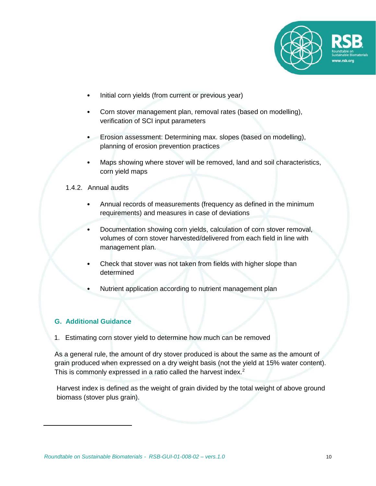

- Initial corn yields (from current or previous year)
- Corn stover management plan, removal rates (based on modelling), verification of SCI input parameters
- Erosion assessment: Determining max. slopes (based on modelling), planning of erosion prevention practices
- Maps showing where stover will be removed, land and soil characteristics, corn yield maps

## 1.4.2. Annual audits

- Annual records of measurements (frequency as defined in the minimum requirements) and measures in case of deviations
- Documentation showing corn yields, calculation of corn stover removal, volumes of corn stover harvested/delivered from each field in line with management plan.
- Check that stover was not taken from fields with higher slope than determined
- Nutrient application according to nutrient management plan

# <span id="page-9-0"></span>**G. Additional Guidance**

 $\overline{\phantom{a}}$ 

1. Estimating corn stover yield to determine how much can be removed

As a general rule, the amount of dry stover produced is about the same as the amount of grain produced when expressed on a dry weight basis (not the yield at 15% water content). This is commonly expressed in a ratio called the harvest index.<sup>2</sup>

Harvest index is defined as the weight of grain divided by the total weight of above ground biomass (stover plus grain).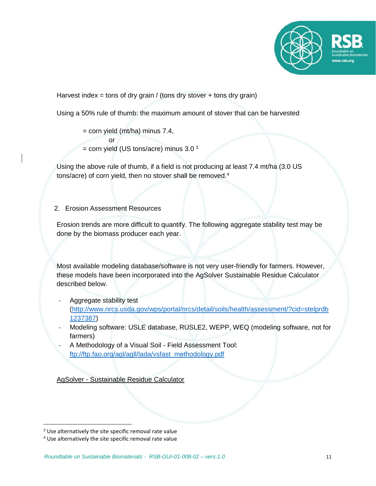

Harvest index = tons of dry grain / (tons dry stover + tons dry grain)

Using a 50% rule of thumb: the maximum amount of stover that can be harvested

= corn yield (mt/ha) minus 7.4, or  $=$  corn yield (US tons/acre) minus 3.0  $3$ 

Using the above rule of thumb, if a field is not producing at least 7.4 mt/ha (3.0 US tons/acre) of corn yield, then no stover shall be removed.<sup>4</sup>

# 2. Erosion Assessment Resources

Erosion trends are more difficult to quantify. The following aggregate stability test may be done by the biomass producer each year.

Most available modeling database/software is not very user-friendly for farmers. However, these models have been incorporated into the AgSolver Sustainable Residue Calculator described below.

- Aggregate stability test [\(http://www.nrcs.usda.gov/wps/portal/nrcs/detail/soils/health/assessment/?cid=stelprdb](http://www.nrcs.usda.gov/wps/portal/nrcs/detail/soils/health/assessment/?cid=stelprdb1237387) [1237387\)](http://www.nrcs.usda.gov/wps/portal/nrcs/detail/soils/health/assessment/?cid=stelprdb1237387)
- Modeling software: USLE database, RUSLE2, WEPP, WEQ (modeling software, not for farmers)
- A Methodology of a Visual Soil Field Assessment Tool: [ftp://ftp.fao.org/agl/agll/lada/vsfast\\_methodology.pdf](ftp://ftp.fao.org/agl/agll/lada/vsfast_methodology.pdf)

AgSolver - Sustainable Residue Calculator

 $\overline{\phantom{a}}$ 

<sup>&</sup>lt;sup>3</sup> Use alternatively the site specific removal rate value

<sup>4</sup> Use alternatively the site specific removal rate value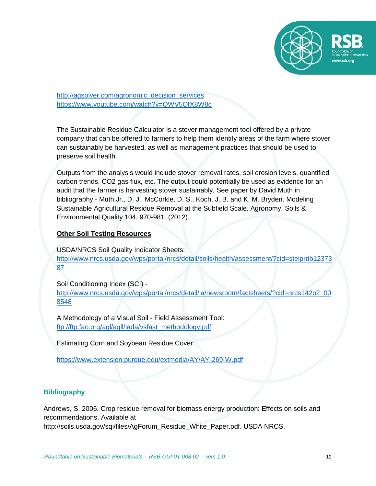

[http://agsolver.com/agronomic\\_decision\\_services](http://agsolver.com/agronomic_decision_services) <https://www.youtube.com/watch?v=QWV5QfX8W8c>

The Sustainable Residue Calculator is a stover management tool offered by a private company that can be offered to farmers to help them identify areas of the farm where stover can sustainably be harvested, as well as management practices that should be used to preserve soil health.

Outputs from the analysis would include stover removal rates, soil erosion levels, quantified carbon trends, CO2 gas flux, etc. The output could potentially be used as evidence for an audit that the farmer is harvesting stover sustainably. See paper by David Muth in bibliography - Muth Jr., D. J., McCorkle, D. S., Koch, J. B. and K. M. Bryden. Modeling Sustainable Agricultural Residue Removal at the Subfield Scale. Agronomy, Soils & Environmental Quality 104, 970-981. (2012).

## **Other Soil Testing Resources**

USDA/NRCS Soil Quality Indicator Sheets: [http://www.nrcs.usda.gov/wps/portal/nrcs/detail/soils/health/assessment/?cid=stelprdb12373](http://www.nrcs.usda.gov/wps/portal/nrcs/detail/soils/health/assessment/?cid=stelprdb1237387) [87](http://www.nrcs.usda.gov/wps/portal/nrcs/detail/soils/health/assessment/?cid=stelprdb1237387)

Soil Conditioning Index (SCI) [http://www.nrcs.usda.gov/wps/portal/nrcs/detail/ia/newsroom/factsheets/?cid=nrcs142p2\\_00](http://www.nrcs.usda.gov/wps/portal/nrcs/detail/ia/newsroom/factsheets/?cid=nrcs142p2_008548) [8548](http://www.nrcs.usda.gov/wps/portal/nrcs/detail/ia/newsroom/factsheets/?cid=nrcs142p2_008548)

A Methodology of a Visual Soil - Field Assessment Tool: [ftp://ftp.fao.org/agl/agll/lada/vsfast\\_methodology.pdf](ftp://ftp.fao.org/agl/agll/lada/vsfast_methodology.pdf)

Estimating Corn and Soybean Residue Cover:

<https://www.extension.purdue.edu/extmedia/AY/AY-269-W.pdf>

## <span id="page-11-0"></span>**Bibliography**

Andrews, S. 2006. Crop residue removal for biomass energy production: Effects on soils and recommendations. Available at http://soils.usda.gov/sqi/files/AgForum\_Residue\_White\_Paper.pdf. USDA NRCS.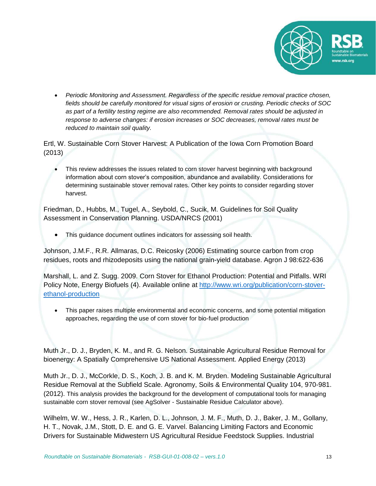

• *Periodic Monitoring and Assessment. Regardless of the specific residue removal practice chosen, fields should be carefully monitored for visual signs of erosion or crusting. Periodic checks of SOC as part of a fertility testing regime are also recommended. Removal rates should be adjusted in response to adverse changes: if erosion increases or SOC decreases, removal rates must be reduced to maintain soil quality.*

Ertl, W. Sustainable Corn Stover Harvest: A Publication of the Iowa Corn Promotion Board (2013)

This review addresses the issues related to corn stover harvest beginning with background information about corn stover's composition, abundance and availability. Considerations for determining sustainable stover removal rates. Other key points to consider regarding stover harvest.

Friedman, D., Hubbs, M., Tugel, A., Seybold, C., Sucik, M. Guidelines for Soil Quality Assessment in Conservation Planning. USDA/NRCS (2001)

This guidance document outlines indicators for assessing soil health.

Johnson, J.M.F., R.R. Allmaras, D.C. Reicosky (2006) Estimating source carbon from crop residues, roots and rhizodeposits using the national grain-yield database. Agron J 98:622-636

Marshall, L. and Z. Sugg. 2009. Corn Stover for Ethanol Production: Potential and Pitfalls. WRI Policy Note, Energy Biofuels (4). Available online at [http://www.wri.org/publication/corn-stover](http://www.wri.org/publication/corn-stover-ethanol-production)[ethanol-production](http://www.wri.org/publication/corn-stover-ethanol-production)

• This paper raises multiple environmental and economic concerns, and some potential mitigation approaches, regarding the use of corn stover for bio-fuel production

Muth Jr., D. J., Bryden, K. M., and R. G. Nelson. Sustainable Agricultural Residue Removal for bioenergy: A Spatially Comprehensive US National Assessment. Applied Energy (2013)

Muth Jr., D. J., McCorkle, D. S., Koch, J. B. and K. M. Bryden. Modeling Sustainable Agricultural Residue Removal at the Subfield Scale. Agronomy, Soils & Environmental Quality 104, 970-981. (2012). This analysis provides the background for the development of computational tools for managing sustainable corn stover removal (see AgSolver - Sustainable Residue Calculator above).

Wilhelm, W. W., Hess, J. R., Karlen, D. L., Johnson, J. M. F., Muth, D. J., Baker, J. M., Gollany, H. T., Novak, J.M., Stott, D. E. and G. E. Varvel. Balancing Limiting Factors and Economic Drivers for Sustainable Midwestern US Agricultural Residue Feedstock Supplies. Industrial